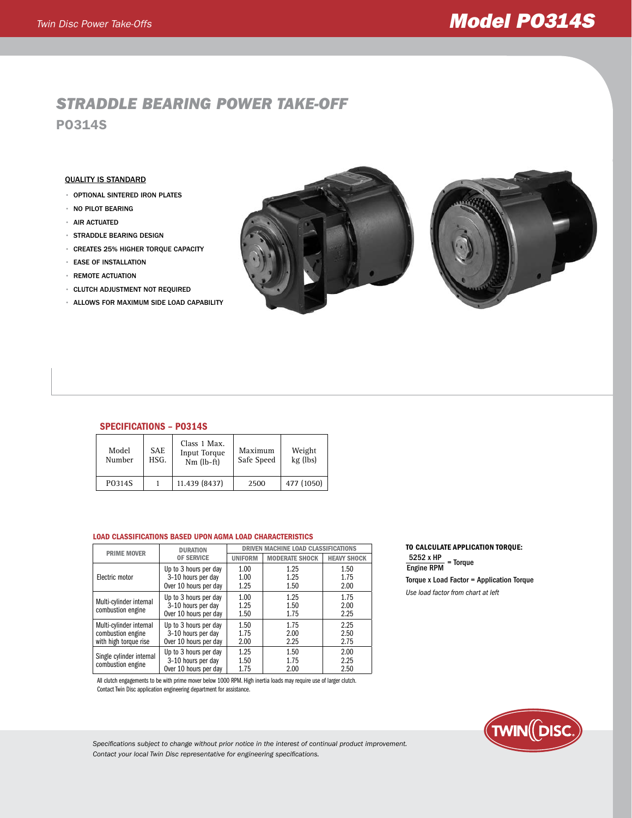# *Twin Disc Power Take-Offs Model PO314S*

# *Straddle bearing power take-off* PO314S

## Quality is Standard

- optional sintered iron plates
- no pilot bearing
- air actuated
- straddle bearing design
- Creates 25% higher torque capacity
- ease of installation
- remote actuation
- clutch adjustment not required
- allows for maximum side load capability





# SPECIFICATIONS – PO314S

| Model<br>Number | <b>SAE</b><br>HSG. | Class 1 Max.<br><b>Input Torque</b><br>$Nm$ (lb-ft) | Maximum<br>Safe Speed | Weight<br>kg (lbs) |
|-----------------|--------------------|-----------------------------------------------------|-----------------------|--------------------|
| P0314S          |                    | 11.439 (8437)                                       | 2500                  | 477 (1050)         |

#### Load classifications based upon agma load characteristics

| <b>PRIME MOVER</b>                                                                                                                            | <b>DURATION</b>                                                      | <b>DRIVEN MACHINE LOAD CLASSIFICATIONS</b> |                       |                      |
|-----------------------------------------------------------------------------------------------------------------------------------------------|----------------------------------------------------------------------|--------------------------------------------|-----------------------|----------------------|
|                                                                                                                                               | <b>OF SERVICE</b>                                                    | <b>UNIFORM</b>                             | <b>MODERATE SHOCK</b> | <b>HEAVY SHOCK</b>   |
| Electric motor                                                                                                                                | Up to 3 hours per day<br>3-10 hours per day<br>Over 10 hours per day | 1.00<br>1.00<br>1.25                       | 1.25<br>1.25<br>1.50  | 1.50<br>1.75<br>2.00 |
| Multi-cylinder internal<br>combustion engine                                                                                                  | Up to 3 hours per day<br>3-10 hours per day<br>Over 10 hours per day | 1.00<br>1.25<br>1.50                       | 1.25<br>1.50<br>1.75  | 1.75<br>2.00<br>2.25 |
| Multi-cylinder internal<br>Up to 3 hours per day<br>3-10 hours per day<br>combustion engine<br>with high torque rise<br>Over 10 hours per day |                                                                      | 1.50<br>1.75<br>2.00                       | 1.75<br>2.00<br>2.25  | 2.25<br>2.50<br>2.75 |
| Single cylinder internal<br>combustion engine                                                                                                 | Up to 3 hours per day<br>3-10 hours per day<br>Over 10 hours per day | 1.25<br>1.50<br>1.75                       | 1.50<br>1.75<br>2.00  | 2.00<br>2.25<br>2.50 |

All clutch engagements to be with prime mover below 1000 RPM. High inertia loads may require use of larger clutch. Contact Twin Disc application engineering department for assistance.

### To calculate application torque:  $\frac{5252 \times HP}{\text{Froine PPM}}$  = Torque Engine RPM

Torque x Load Factor = Application Torque

*Use load factor from chart at left*



*Specifications subject to change without prior notice in the interest of continual product improvement. Contact your local Twin Disc representative for engineering specifications.*